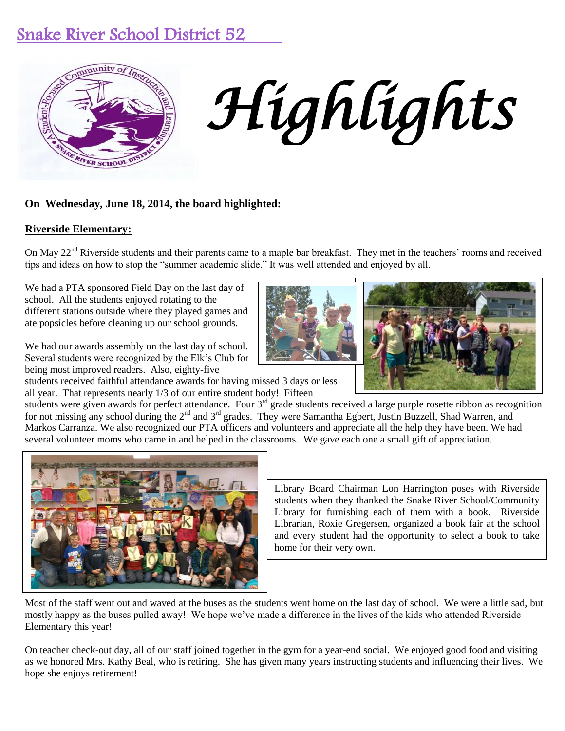# Snake River School District 52



# *Highlights*

# **On Wednesday, June 18, 2014, the board highlighted:**

## **Riverside Elementary:**

On May 22<sup>nd</sup> Riverside students and their parents came to a maple bar breakfast. They met in the teachers' rooms and received tips and ideas on how to stop the "summer academic slide." It was well attended and enjoyed by all.

We had a PTA sponsored Field Day on the last day of school. All the students enjoyed rotating to the different stations outside where they played games and ate popsicles before cleaning up our school grounds.

We had our awards assembly on the last day of school. Several students were recognized by the Elk's Club for being most improved readers. Also, eighty-five

students received faithful attendance awards for having missed 3 days or less all year. That represents nearly 1/3 of our entire student body! Fifteen

students were given awards for perfect attendance. Four 3<sup>rd</sup> grade students received a large purple rosette ribbon as recognition for not missing any school during the 2<sup>nd</sup> and 3<sup>rd</sup> grades. They were Samantha Egbert, Justin Buzzell, Shad Warren, and Markos Carranza. We also recognized our PTA officers and volunteers and appreciate all the help they have been. We had several volunteer moms who came in and helped in the classrooms. We gave each one a small gift of appreciation.



Library Board Chairman Lon Harrington poses with Riverside students when they thanked the Snake River School/Community Library for furnishing each of them with a book. Riverside Librarian, Roxie Gregersen, organized a book fair at the school and every student had the opportunity to select a book to take home for their very own.

Most of the staff went out and waved at the buses as the students went home on the last day of school. We were a little sad, but mostly happy as the buses pulled away! We hope we've made a difference in the lives of the kids who attended Riverside Elementary this year!

On teacher check-out day, all of our staff joined together in the gym for a year-end social. We enjoyed good food and visiting as we honored Mrs. Kathy Beal, who is retiring. She has given many years instructing students and influencing their lives. We hope she enjoys retirement!



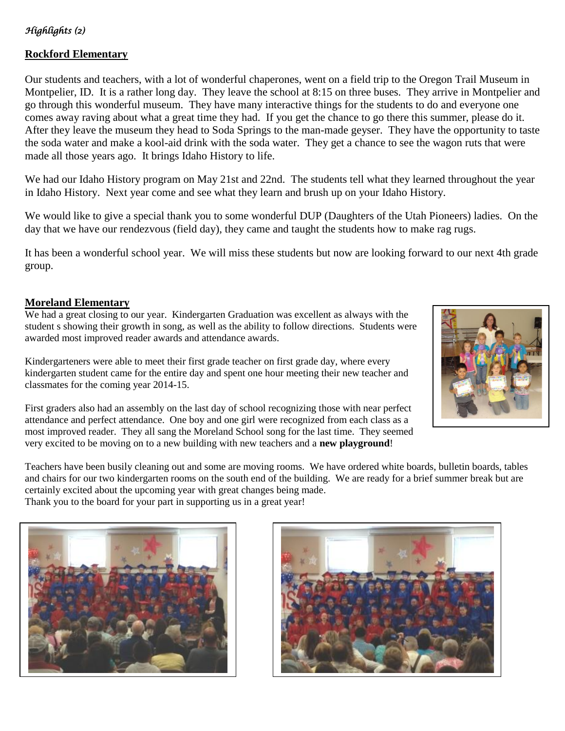# *Highlights (2)*

# **Rockford Elementary**

Our students and teachers, with a lot of wonderful chaperones, went on a field trip to the Oregon Trail Museum in Montpelier, ID. It is a rather long day. They leave the school at 8:15 on three buses. They arrive in Montpelier and go through this wonderful museum. They have many interactive things for the students to do and everyone one comes away raving about what a great time they had. If you get the chance to go there this summer, please do it. After they leave the museum they head to Soda Springs to the man-made geyser. They have the opportunity to taste the soda water and make a kool-aid drink with the soda water. They get a chance to see the wagon ruts that were made all those years ago. It brings Idaho History to life.

We had our Idaho History program on May 21st and 22nd. The students tell what they learned throughout the year in Idaho History. Next year come and see what they learn and brush up on your Idaho History.

We would like to give a special thank you to some wonderful DUP (Daughters of the Utah Pioneers) ladies. On the day that we have our rendezvous (field day), they came and taught the students how to make rag rugs.

It has been a wonderful school year. We will miss these students but now are looking forward to our next 4th grade group.

#### **Moreland Elementary**

We had a great closing to our year. Kindergarten Graduation was excellent as always with the student s showing their growth in song, as well as the ability to follow directions. Students were awarded most improved reader awards and attendance awards.

Kindergarteners were able to meet their first grade teacher on first grade day, where every kindergarten student came for the entire day and spent one hour meeting their new teacher and classmates for the coming year 2014-15.

First graders also had an assembly on the last day of school recognizing those with near perfect attendance and perfect attendance. One boy and one girl were recognized from each class as a most improved reader. They all sang the Moreland School song for the last time. They seemed very excited to be moving on to a new building with new teachers and a **new playground**!



Teachers have been busily cleaning out and some are moving rooms. We have ordered white boards, bulletin boards, tables and chairs for our two kindergarten rooms on the south end of the building. We are ready for a brief summer break but are certainly excited about the upcoming year with great changes being made. Thank you to the board for your part in supporting us in a great year!



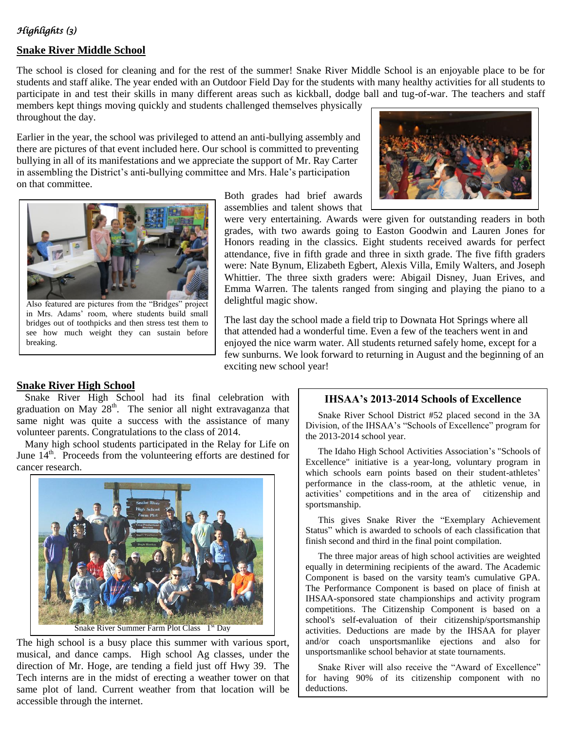# *Highlights (3)*

## **Snake River Middle School**

The school is closed for cleaning and for the rest of the summer! Snake River Middle School is an enjoyable place to be for students and staff alike. The year ended with an Outdoor Field Day for the students with many healthy activities for all students to participate in and test their skills in many different areas such as kickball, dodge ball and tug-of-war. The teachers and staff

members kept things moving quickly and students challenged themselves physically throughout the day.

Earlier in the year, the school was privileged to attend an anti-bullying assembly and there are pictures of that event included here. Our school is committed to preventing bullying in all of its manifestations and we appreciate the support of Mr. Ray Carter in assembling the District's anti-bullying committee and Mrs. Hale's participation on that committee.



Also featured are pictures from the "Bridges" project in Mrs. Adams' room, where students build small bridges out of toothpicks and then stress test them to see how much weight they can sustain before breaking.

Both grades had brief awards assemblies and talent shows that



were very entertaining. Awards were given for outstanding readers in both grades, with two awards going to Easton Goodwin and Lauren Jones for Honors reading in the classics. Eight students received awards for perfect attendance, five in fifth grade and three in sixth grade. The five fifth graders were: Nate Bynum, Elizabeth Egbert, Alexis Villa, Emily Walters, and Joseph Whittier. The three sixth graders were: Abigail Disney, Juan Erives, and Emma Warren. The talents ranged from singing and playing the piano to a delightful magic show.

The last day the school made a field trip to Downata Hot Springs where all that attended had a wonderful time. Even a few of the teachers went in and enjoyed the nice warm water. All students returned safely home, except for a few sunburns. We look forward to returning in August and the beginning of an exciting new school year!

#### **Snake River High School**

Snake River High School had its final celebration with graduation on May 28<sup>th</sup>. The senior all night extravaganza that same night was quite a success with the assistance of many volunteer parents. Congratulations to the class of 2014.

Many high school students participated in the Relay for Life on June  $14<sup>th</sup>$ . Proceeds from the volunteering efforts are destined for cancer research.



The high school is a busy place this summer with various sport, musical, and dance camps. High school Ag classes, under the direction of Mr. Hoge, are tending a field just off Hwy 39. The Tech interns are in the midst of erecting a weather tower on that same plot of land. Current weather from that location will be accessible through the internet.

#### **IHSAA's 2013-2014 Schools of Excellence**

Snake River School District #52 placed second in the 3A Division, of the IHSAA's "Schools of Excellence" program for the 2013-2014 school year.

The Idaho High School Activities Association's "Schools of Excellence" initiative is a year-long, voluntary program in which schools earn points based on their student-athletes' performance in the class-room, at the athletic venue, in activities' competitions and in the area of citizenship and sportsmanship.

This gives Snake River the "Exemplary Achievement Status" which is awarded to schools of each classification that finish second and third in the final point compilation.

The three major areas of high school activities are weighted equally in determining recipients of the award. The Academic Component is based on the varsity team's cumulative GPA. The Performance Component is based on place of finish at IHSAA-sponsored state championships and activity program competitions. The Citizenship Component is based on a school's self-evaluation of their citizenship/sportsmanship activities. Deductions are made by the IHSAA for player and/or coach unsportsmanlike ejections and also for unsportsmanlike school behavior at state tournaments.

Snake River will also receive the "Award of Excellence" for having 90% of its citizenship component with no deductions.